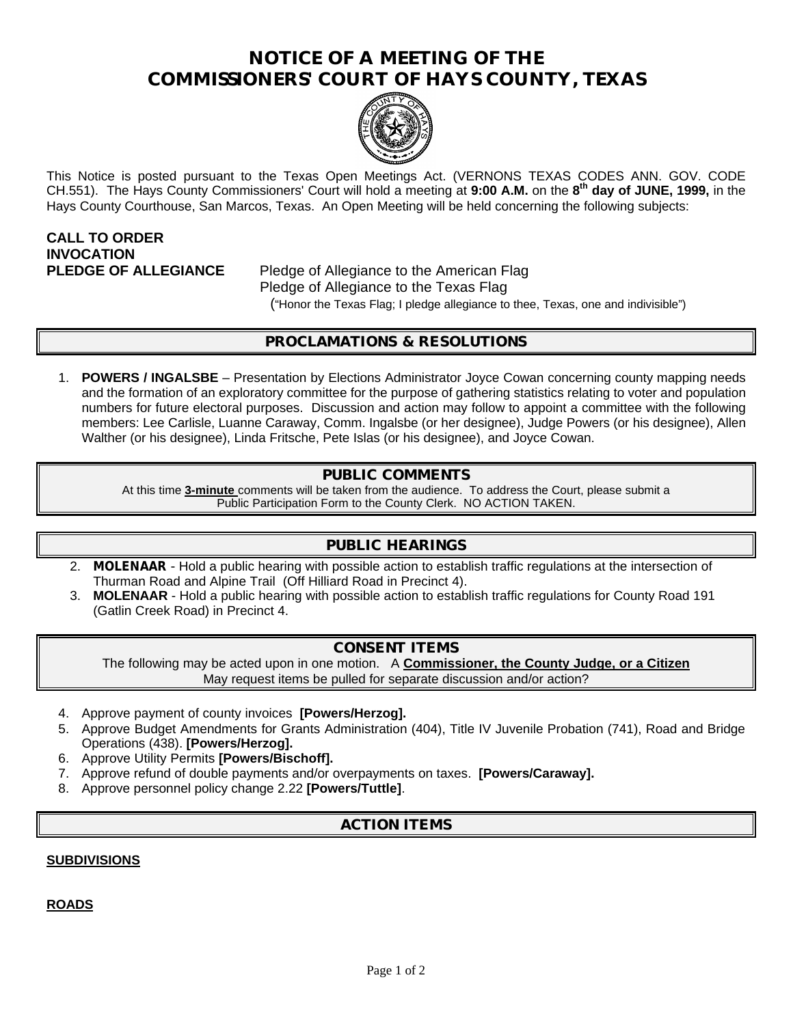# **NOTICE OF A MEETING OF THE COMMISSIONERS' COURT OF HAYS COUNTY, TEXAS**



This Notice is posted pursuant to the Texas Open Meetings Act. (VERNONS TEXAS CODES ANN. GOV. CODE CH.551). The Hays County Commissioners' Court will hold a meeting at **9:00 A.M.** on the **8 th day of JUNE, 1999,** in the Hays County Courthouse, San Marcos, Texas. An Open Meeting will be held concerning the following subjects:

# **CALL TO ORDER INVOCATION**

**PLEDGE OF ALLEGIANCE** Pledge of Allegiance to the American Flag Pledge of Allegiance to the Texas Flag ("Honor the Texas Flag; I pledge allegiance to thee, Texas, one and indivisible")

# **PROCLAMATIONS & RESOLUTIONS**

1. **POWERS / INGALSBE** – Presentation by Elections Administrator Joyce Cowan concerning county mapping needs and the formation of an exploratory committee for the purpose of gathering statistics relating to voter and population numbers for future electoral purposes. Discussion and action may follow to appoint a committee with the following members: Lee Carlisle, Luanne Caraway, Comm. Ingalsbe (or her designee), Judge Powers (or his designee), Allen Walther (or his designee), Linda Fritsche, Pete Islas (or his designee), and Joyce Cowan.

# **PUBLIC COMMENTS**

At this time **3-minute** comments will be taken from the audience. To address the Court, please submit a Public Participation Form to the County Clerk. NO ACTION TAKEN.

## **PUBLIC HEARINGS**

- 2. **MOLENAAR** Hold a public hearing with possible action to establish traffic regulations at the intersection of Thurman Road and Alpine Trail (Off Hilliard Road in Precinct 4).
- 3. **MOLENAAR** Hold a public hearing with possible action to establish traffic regulations for County Road 191 (Gatlin Creek Road) in Precinct 4.

## **CONSENT ITEMS**

The following may be acted upon in one motion. A **Commissioner, the County Judge, or a Citizen** May request items be pulled for separate discussion and/or action?

- 4. Approve payment of county invoices **[Powers/Herzog].**
- 5. Approve Budget Amendments for Grants Administration (404), Title IV Juvenile Probation (741), Road and Bridge Operations (438). **[Powers/Herzog].**
- 6. Approve Utility Permits **[Powers/Bischoff].**
- 7. Approve refund of double payments and/or overpayments on taxes. **[Powers/Caraway].**
- 8. Approve personnel policy change 2.22 **[Powers/Tuttle]**.

# **ACTION ITEMS**

#### **SUBDIVISIONS**

**ROADS**